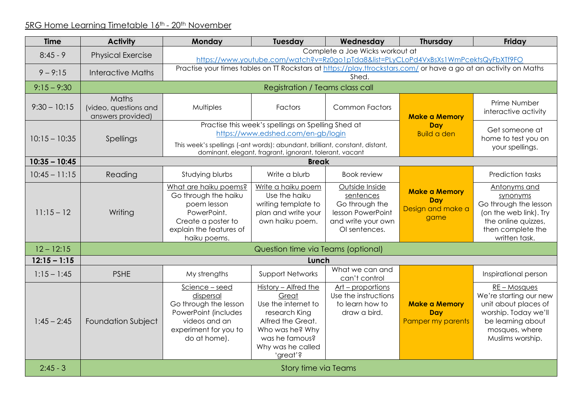## 5RG Home Learning Timetable 16th - 20th November

| <b>Time</b>     | <b>Activity</b>                                     | Monday                                                                                                                                       | Tuesday                                                                                                                                                          | Wednesday                                                                                                 | <b>Thursday</b>                                                 | Friday                                                                                                                                            |  |  |  |
|-----------------|-----------------------------------------------------|----------------------------------------------------------------------------------------------------------------------------------------------|------------------------------------------------------------------------------------------------------------------------------------------------------------------|-----------------------------------------------------------------------------------------------------------|-----------------------------------------------------------------|---------------------------------------------------------------------------------------------------------------------------------------------------|--|--|--|
| $8:45 - 9$      | <b>Physical Exercise</b>                            | Complete a Joe Wicks workout at<br>https://www.youtube.com/watch?v=Rz0go1pTda8&list=PLyCLoPd4VxBsXs1WmPcektsQyFbXTf9FO                       |                                                                                                                                                                  |                                                                                                           |                                                                 |                                                                                                                                                   |  |  |  |
| $9 - 9:15$      | <b>Interactive Maths</b>                            | Practise your times tables on TT Rockstars at https://play.ttrockstars.com/ or have a go at an activity on Maths<br>Shed.                    |                                                                                                                                                                  |                                                                                                           |                                                                 |                                                                                                                                                   |  |  |  |
| $9:15 - 9:30$   |                                                     | Registration / Teams class call                                                                                                              |                                                                                                                                                                  |                                                                                                           |                                                                 |                                                                                                                                                   |  |  |  |
| $9:30 - 10:15$  | Maths<br>(video, questions and<br>answers provided) | Multiples                                                                                                                                    | Factors                                                                                                                                                          | <b>Common Factors</b>                                                                                     | <b>Make a Memory</b>                                            | Prime Number<br>interactive activity                                                                                                              |  |  |  |
| $10:15 - 10:35$ | <b>Spellings</b>                                    | This week's spellings (-ant words): abundant, brilliant, constant, distant,                                                                  | Practise this week's spellings on Spelling Shed at<br>https://www.edshed.com/en-gb/login<br>dominant, elegant, fragrant, ignorant, tolerant, vacant              | Day<br><b>Build a den</b>                                                                                 | Get someone at<br>home to test you on<br>your spellings.        |                                                                                                                                                   |  |  |  |
| $10:35 - 10:45$ | <b>Break</b>                                        |                                                                                                                                              |                                                                                                                                                                  |                                                                                                           |                                                                 |                                                                                                                                                   |  |  |  |
| $10:45 - 11:15$ | Reading                                             | Studying blurbs                                                                                                                              | Write a blurb                                                                                                                                                    | <b>Book review</b>                                                                                        |                                                                 | <b>Prediction tasks</b>                                                                                                                           |  |  |  |
| $11:15 - 12$    | Writing                                             | What are haiku poems?<br>Go through the haiku<br>poem lesson<br>PowerPoint.<br>Create a poster to<br>explain the features of<br>haiku poems. | Write a haiku poem<br>Use the haiku<br>writing template to<br>plan and write your<br>own haiku poem.                                                             | Outside Inside<br>sentences<br>Go through the<br>lesson PowerPoint<br>and write your own<br>OI sentences. | <b>Make a Memory</b><br><b>Day</b><br>Design and make a<br>game | Antonyms and<br>synonyms<br>Go through the lesson<br>(on the web link). Try<br>the online quizzes,<br>then complete the<br>written task.          |  |  |  |
| $12 - 12:15$    | Question time via Teams (optional)                  |                                                                                                                                              |                                                                                                                                                                  |                                                                                                           |                                                                 |                                                                                                                                                   |  |  |  |
| $12:15 - 1:15$  |                                                     | Lunch                                                                                                                                        |                                                                                                                                                                  |                                                                                                           |                                                                 |                                                                                                                                                   |  |  |  |
| $1:15 - 1:45$   | <b>PSHE</b>                                         | My strengths                                                                                                                                 | <b>Support Networks</b>                                                                                                                                          | What we can and<br>can't control                                                                          |                                                                 | Inspirational person                                                                                                                              |  |  |  |
| $1:45 - 2:45$   | <b>Foundation Subject</b>                           | Science - seed<br>dispersal<br>Go through the lesson<br>PowerPoint (includes<br>videos and an<br>experiment for you to<br>do at home).       | History - Alfred the<br>Great<br>Use the internet to<br>research King<br>Alfred the Great.<br>Who was he? Why<br>was he famous?<br>Why was he called<br>'great'? | Art – proportions<br>Use the instructions<br>to learn how to<br>draw a bird.                              | <b>Make a Memory</b><br><b>Day</b><br>Pamper my parents         | RE - Mosques<br>We're starting our new<br>unit about places of<br>worship. Today we'll<br>be learning about<br>mosques, where<br>Muslims worship. |  |  |  |
| $2:45 - 3$      | Story time via Teams                                |                                                                                                                                              |                                                                                                                                                                  |                                                                                                           |                                                                 |                                                                                                                                                   |  |  |  |